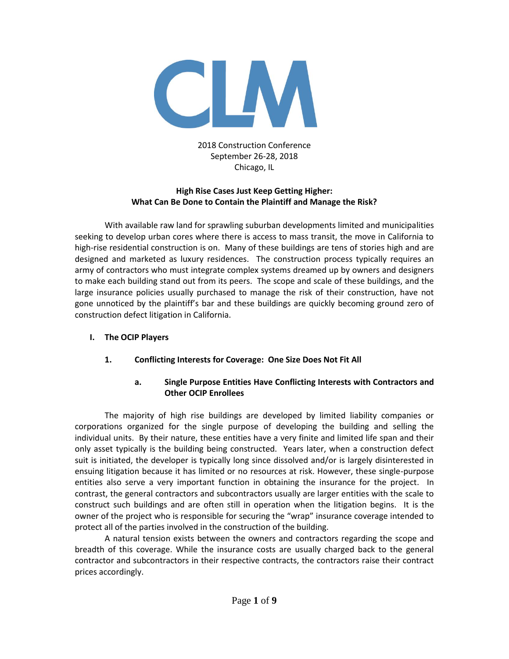

#### 2018 Construction Conference September 26-28, 2018 Chicago, IL

#### **High Rise Cases Just Keep Getting Higher: What Can Be Done to Contain the Plaintiff and Manage the Risk?**

With available raw land for sprawling suburban developments limited and municipalities seeking to develop urban cores where there is access to mass transit, the move in California to high-rise residential construction is on. Many of these buildings are tens of stories high and are designed and marketed as luxury residences. The construction process typically requires an army of contractors who must integrate complex systems dreamed up by owners and designers to make each building stand out from its peers. The scope and scale of these buildings, and the large insurance policies usually purchased to manage the risk of their construction, have not gone unnoticed by the plaintiff's bar and these buildings are quickly becoming ground zero of construction defect litigation in California.

#### **I. The OCIP Players**

# **1. Conflicting Interests for Coverage: One Size Does Not Fit All**

#### **a. Single Purpose Entities Have Conflicting Interests with Contractors and Other OCIP Enrollees**

The majority of high rise buildings are developed by limited liability companies or corporations organized for the single purpose of developing the building and selling the individual units. By their nature, these entities have a very finite and limited life span and their only asset typically is the building being constructed. Years later, when a construction defect suit is initiated, the developer is typically long since dissolved and/or is largely disinterested in ensuing litigation because it has limited or no resources at risk. However, these single-purpose entities also serve a very important function in obtaining the insurance for the project. In contrast, the general contractors and subcontractors usually are larger entities with the scale to construct such buildings and are often still in operation when the litigation begins. It is the owner of the project who is responsible for securing the "wrap" insurance coverage intended to protect all of the parties involved in the construction of the building.

A natural tension exists between the owners and contractors regarding the scope and breadth of this coverage. While the insurance costs are usually charged back to the general contractor and subcontractors in their respective contracts, the contractors raise their contract prices accordingly.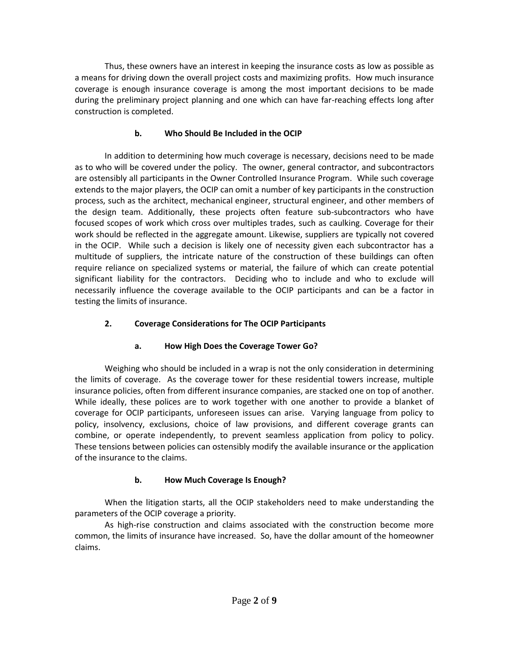Thus, these owners have an interest in keeping the insurance costs as low as possible as a means for driving down the overall project costs and maximizing profits. How much insurance coverage is enough insurance coverage is among the most important decisions to be made during the preliminary project planning and one which can have far-reaching effects long after construction is completed.

# **b. Who Should Be Included in the OCIP**

In addition to determining how much coverage is necessary, decisions need to be made as to who will be covered under the policy. The owner, general contractor, and subcontractors are ostensibly all participants in the Owner Controlled Insurance Program. While such coverage extends to the major players, the OCIP can omit a number of key participants in the construction process, such as the architect, mechanical engineer, structural engineer, and other members of the design team. Additionally, these projects often feature sub-subcontractors who have focused scopes of work which cross over multiples trades, such as caulking. Coverage for their work should be reflected in the aggregate amount. Likewise, suppliers are typically not covered in the OCIP. While such a decision is likely one of necessity given each subcontractor has a multitude of suppliers, the intricate nature of the construction of these buildings can often require reliance on specialized systems or material, the failure of which can create potential significant liability for the contractors. Deciding who to include and who to exclude will necessarily influence the coverage available to the OCIP participants and can be a factor in testing the limits of insurance.

### **2. Coverage Considerations for The OCIP Participants**

# **a. How High Does the Coverage Tower Go?**

Weighing who should be included in a wrap is not the only consideration in determining the limits of coverage. As the coverage tower for these residential towers increase, multiple insurance policies, often from different insurance companies, are stacked one on top of another. While ideally, these polices are to work together with one another to provide a blanket of coverage for OCIP participants, unforeseen issues can arise. Varying language from policy to policy, insolvency, exclusions, choice of law provisions, and different coverage grants can combine, or operate independently, to prevent seamless application from policy to policy. These tensions between policies can ostensibly modify the available insurance or the application of the insurance to the claims.

# **b. How Much Coverage Is Enough?**

When the litigation starts, all the OCIP stakeholders need to make understanding the parameters of the OCIP coverage a priority.

As high-rise construction and claims associated with the construction become more common, the limits of insurance have increased. So, have the dollar amount of the homeowner claims.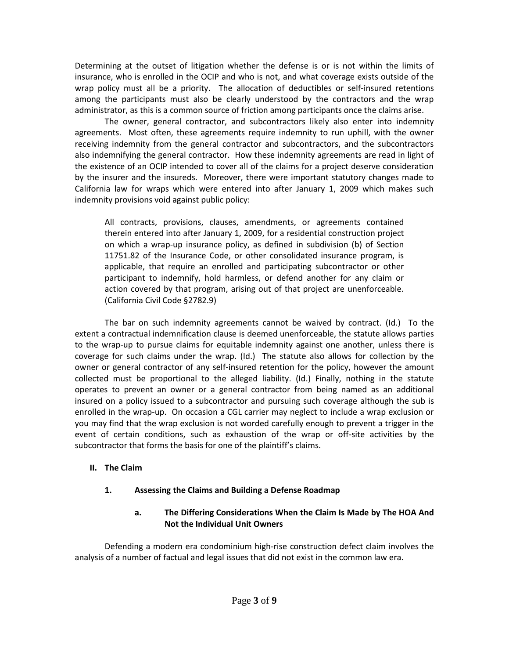Determining at the outset of litigation whether the defense is or is not within the limits of insurance, who is enrolled in the OCIP and who is not, and what coverage exists outside of the wrap policy must all be a priority. The allocation of deductibles or self-insured retentions among the participants must also be clearly understood by the contractors and the wrap administrator, as this is a common source of friction among participants once the claims arise.

The owner, general contractor, and subcontractors likely also enter into indemnity agreements. Most often, these agreements require indemnity to run uphill, with the owner receiving indemnity from the general contractor and subcontractors, and the subcontractors also indemnifying the general contractor. How these indemnity agreements are read in light of the existence of an OCIP intended to cover all of the claims for a project deserve consideration by the insurer and the insureds. Moreover, there were important statutory changes made to California law for wraps which were entered into after January 1, 2009 which makes such indemnity provisions void against public policy:

All contracts, provisions, clauses, amendments, or agreements contained therein entered into after January 1, 2009, for a residential construction project on which a wrap-up insurance policy, as defined in subdivision (b) of Section 11751.82 of the Insurance Code, or other consolidated insurance program, is applicable, that require an enrolled and participating subcontractor or other participant to indemnify, hold harmless, or defend another for any claim or action covered by that program, arising out of that project are unenforceable. (California Civil Code §2782.9)

The bar on such indemnity agreements cannot be waived by contract. (Id.) To the extent a contractual indemnification clause is deemed unenforceable, the statute allows parties to the wrap-up to pursue claims for equitable indemnity against one another, unless there is coverage for such claims under the wrap. (Id.) The statute also allows for collection by the owner or general contractor of any self-insured retention for the policy, however the amount collected must be proportional to the alleged liability. (Id.) Finally, nothing in the statute operates to prevent an owner or a general contractor from being named as an additional insured on a policy issued to a subcontractor and pursuing such coverage although the sub is enrolled in the wrap-up. On occasion a CGL carrier may neglect to include a wrap exclusion or you may find that the wrap exclusion is not worded carefully enough to prevent a trigger in the event of certain conditions, such as exhaustion of the wrap or off-site activities by the subcontractor that forms the basis for one of the plaintiff's claims.

#### **II. The Claim**

#### **1. Assessing the Claims and Building a Defense Roadmap**

### **a. The Differing Considerations When the Claim Is Made by The HOA And Not the Individual Unit Owners**

Defending a modern era condominium high-rise construction defect claim involves the analysis of a number of factual and legal issues that did not exist in the common law era.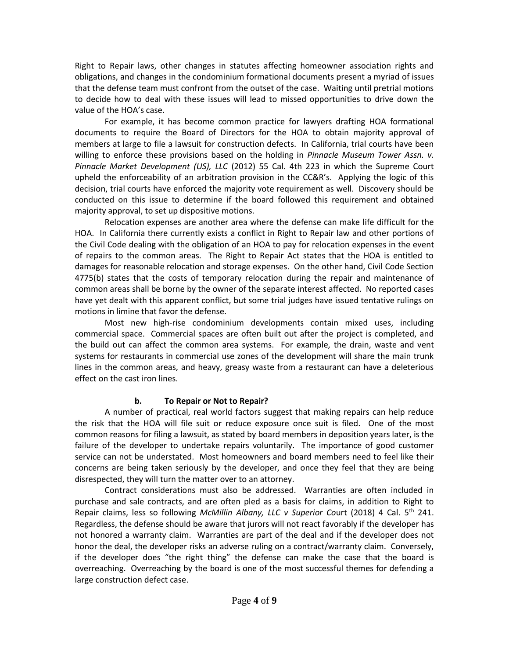Right to Repair laws, other changes in statutes affecting homeowner association rights and obligations, and changes in the condominium formational documents present a myriad of issues that the defense team must confront from the outset of the case. Waiting until pretrial motions to decide how to deal with these issues will lead to missed opportunities to drive down the value of the HOA's case.

For example, it has become common practice for lawyers drafting HOA formational documents to require the Board of Directors for the HOA to obtain majority approval of members at large to file a lawsuit for construction defects. In California, trial courts have been willing to enforce these provisions based on the holding in *Pinnacle Museum Tower Assn. v. Pinnacle Market Development (US), LLC* (2012) 55 Cal. 4th 223 in which the Supreme Court upheld the enforceability of an arbitration provision in the CC&R's. Applying the logic of this decision, trial courts have enforced the majority vote requirement as well. Discovery should be conducted on this issue to determine if the board followed this requirement and obtained majority approval, to set up dispositive motions.

Relocation expenses are another area where the defense can make life difficult for the HOA. In California there currently exists a conflict in Right to Repair law and other portions of the Civil Code dealing with the obligation of an HOA to pay for relocation expenses in the event of repairs to the common areas. The Right to Repair Act states that the HOA is entitled to damages for reasonable relocation and storage expenses. On the other hand, Civil Code Section 4775(b) states that the costs of temporary relocation during the repair and maintenance of common areas shall be borne by the owner of the separate interest affected. No reported cases have yet dealt with this apparent conflict, but some trial judges have issued tentative rulings on motions in limine that favor the defense.

Most new high-rise condominium developments contain mixed uses, including commercial space. Commercial spaces are often built out after the project is completed, and the build out can affect the common area systems. For example, the drain, waste and vent systems for restaurants in commercial use zones of the development will share the main trunk lines in the common areas, and heavy, greasy waste from a restaurant can have a deleterious effect on the cast iron lines.

# **b. To Repair or Not to Repair?**

A number of practical, real world factors suggest that making repairs can help reduce the risk that the HOA will file suit or reduce exposure once suit is filed. One of the most common reasons for filing a lawsuit, as stated by board members in deposition years later, is the failure of the developer to undertake repairs voluntarily. The importance of good customer service can not be understated. Most homeowners and board members need to feel like their concerns are being taken seriously by the developer, and once they feel that they are being disrespected, they will turn the matter over to an attorney.

Contract considerations must also be addressed. Warranties are often included in purchase and sale contracts, and are often pled as a basis for claims, in addition to Right to Repair claims, less so following *McMillin Albany, LLC v Superior Co*urt (2018) 4 Cal. 5th 241. Regardless, the defense should be aware that jurors will not react favorably if the developer has not honored a warranty claim. Warranties are part of the deal and if the developer does not honor the deal, the developer risks an adverse ruling on a contract/warranty claim. Conversely, if the developer does "the right thing" the defense can make the case that the board is overreaching. Overreaching by the board is one of the most successful themes for defending a large construction defect case.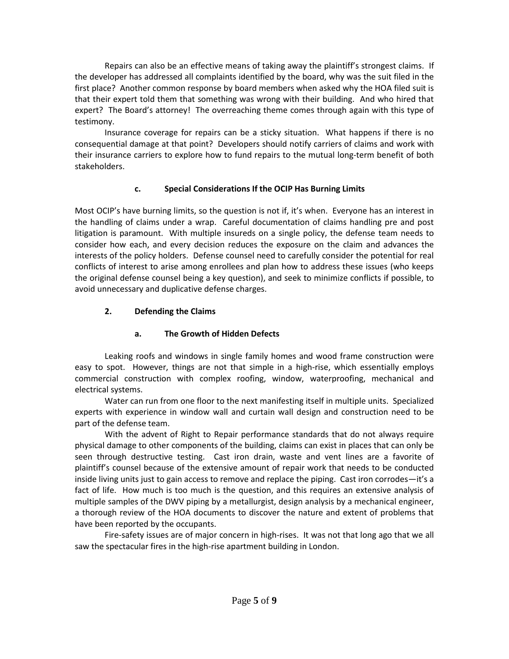Repairs can also be an effective means of taking away the plaintiff's strongest claims. If the developer has addressed all complaints identified by the board, why was the suit filed in the first place? Another common response by board members when asked why the HOA filed suit is that their expert told them that something was wrong with their building. And who hired that expert? The Board's attorney! The overreaching theme comes through again with this type of testimony.

Insurance coverage for repairs can be a sticky situation. What happens if there is no consequential damage at that point? Developers should notify carriers of claims and work with their insurance carriers to explore how to fund repairs to the mutual long-term benefit of both stakeholders.

### **c. Special Considerations If the OCIP Has Burning Limits**

Most OCIP's have burning limits, so the question is not if, it's when. Everyone has an interest in the handling of claims under a wrap. Careful documentation of claims handling pre and post litigation is paramount. With multiple insureds on a single policy, the defense team needs to consider how each, and every decision reduces the exposure on the claim and advances the interests of the policy holders. Defense counsel need to carefully consider the potential for real conflicts of interest to arise among enrollees and plan how to address these issues (who keeps the original defense counsel being a key question), and seek to minimize conflicts if possible, to avoid unnecessary and duplicative defense charges.

# **2. Defending the Claims**

# **a. The Growth of Hidden Defects**

Leaking roofs and windows in single family homes and wood frame construction were easy to spot. However, things are not that simple in a high-rise, which essentially employs commercial construction with complex roofing, window, waterproofing, mechanical and electrical systems.

Water can run from one floor to the next manifesting itself in multiple units. Specialized experts with experience in window wall and curtain wall design and construction need to be part of the defense team.

With the advent of Right to Repair performance standards that do not always require physical damage to other components of the building, claims can exist in places that can only be seen through destructive testing. Cast iron drain, waste and vent lines are a favorite of plaintiff's counsel because of the extensive amount of repair work that needs to be conducted inside living units just to gain access to remove and replace the piping. Cast iron corrodes—it's a fact of life. How much is too much is the question, and this requires an extensive analysis of multiple samples of the DWV piping by a metallurgist, design analysis by a mechanical engineer, a thorough review of the HOA documents to discover the nature and extent of problems that have been reported by the occupants.

Fire-safety issues are of major concern in high-rises. It was not that long ago that we all saw the spectacular fires in the high-rise apartment building in London.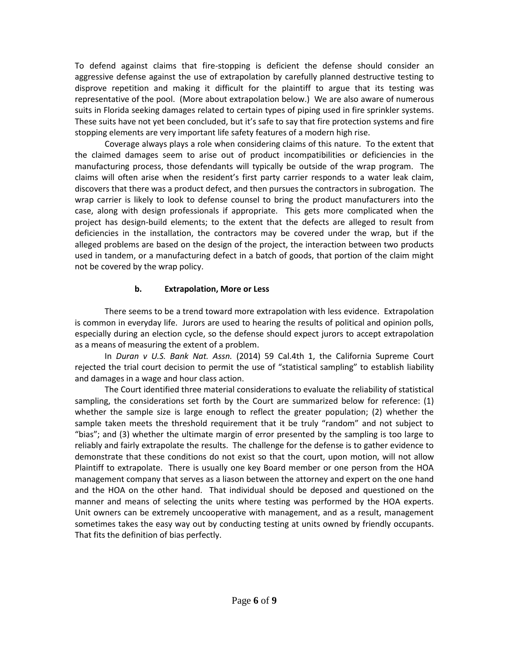To defend against claims that fire-stopping is deficient the defense should consider an aggressive defense against the use of extrapolation by carefully planned destructive testing to disprove repetition and making it difficult for the plaintiff to argue that its testing was representative of the pool. (More about extrapolation below.) We are also aware of numerous suits in Florida seeking damages related to certain types of piping used in fire sprinkler systems. These suits have not yet been concluded, but it's safe to say that fire protection systems and fire stopping elements are very important life safety features of a modern high rise.

Coverage always plays a role when considering claims of this nature. To the extent that the claimed damages seem to arise out of product incompatibilities or deficiencies in the manufacturing process, those defendants will typically be outside of the wrap program. The claims will often arise when the resident's first party carrier responds to a water leak claim, discovers that there was a product defect, and then pursues the contractors in subrogation. The wrap carrier is likely to look to defense counsel to bring the product manufacturers into the case, along with design professionals if appropriate. This gets more complicated when the project has design-build elements; to the extent that the defects are alleged to result from deficiencies in the installation, the contractors may be covered under the wrap, but if the alleged problems are based on the design of the project, the interaction between two products used in tandem, or a manufacturing defect in a batch of goods, that portion of the claim might not be covered by the wrap policy.

#### **b. Extrapolation, More or Less**

There seems to be a trend toward more extrapolation with less evidence. Extrapolation is common in everyday life. Jurors are used to hearing the results of political and opinion polls, especially during an election cycle, so the defense should expect jurors to accept extrapolation as a means of measuring the extent of a problem.

In *Duran v U.S. Bank Nat. Assn.* (2014) 59 Cal.4th 1, the California Supreme Court rejected the trial court decision to permit the use of "statistical sampling" to establish liability and damages in a wage and hour class action.

The Court identified three material considerations to evaluate the reliability of statistical sampling, the considerations set forth by the Court are summarized below for reference: (1) whether the sample size is large enough to reflect the greater population; (2) whether the sample taken meets the threshold requirement that it be truly "random" and not subject to "bias"; and (3) whether the ultimate margin of error presented by the sampling is too large to reliably and fairly extrapolate the results. The challenge for the defense is to gather evidence to demonstrate that these conditions do not exist so that the court, upon motion, will not allow Plaintiff to extrapolate. There is usually one key Board member or one person from the HOA management company that serves as a liason between the attorney and expert on the one hand and the HOA on the other hand. That individual should be deposed and questioned on the manner and means of selecting the units where testing was performed by the HOA experts. Unit owners can be extremely uncooperative with management, and as a result, management sometimes takes the easy way out by conducting testing at units owned by friendly occupants. That fits the definition of bias perfectly.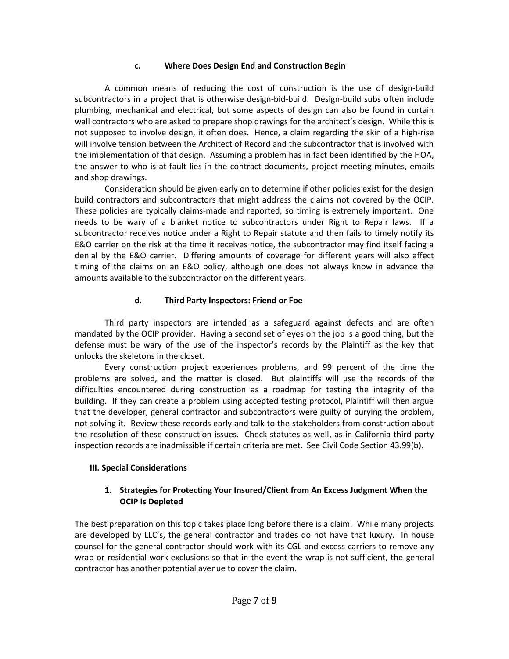#### **c. Where Does Design End and Construction Begin**

A common means of reducing the cost of construction is the use of design-build subcontractors in a project that is otherwise design-bid-build. Design-build subs often include plumbing, mechanical and electrical, but some aspects of design can also be found in curtain wall contractors who are asked to prepare shop drawings for the architect's design. While this is not supposed to involve design, it often does. Hence, a claim regarding the skin of a high-rise will involve tension between the Architect of Record and the subcontractor that is involved with the implementation of that design. Assuming a problem has in fact been identified by the HOA, the answer to who is at fault lies in the contract documents, project meeting minutes, emails and shop drawings.

Consideration should be given early on to determine if other policies exist for the design build contractors and subcontractors that might address the claims not covered by the OCIP. These policies are typically claims-made and reported, so timing is extremely important. One needs to be wary of a blanket notice to subcontractors under Right to Repair laws. If a subcontractor receives notice under a Right to Repair statute and then fails to timely notify its E&O carrier on the risk at the time it receives notice, the subcontractor may find itself facing a denial by the E&O carrier. Differing amounts of coverage for different years will also affect timing of the claims on an E&O policy, although one does not always know in advance the amounts available to the subcontractor on the different years.

# **d. Third Party Inspectors: Friend or Foe**

Third party inspectors are intended as a safeguard against defects and are often mandated by the OCIP provider. Having a second set of eyes on the job is a good thing, but the defense must be wary of the use of the inspector's records by the Plaintiff as the key that unlocks the skeletons in the closet.

Every construction project experiences problems, and 99 percent of the time the problems are solved, and the matter is closed. But plaintiffs will use the records of the difficulties encountered during construction as a roadmap for testing the integrity of the building. If they can create a problem using accepted testing protocol, Plaintiff will then argue that the developer, general contractor and subcontractors were guilty of burying the problem, not solving it. Review these records early and talk to the stakeholders from construction about the resolution of these construction issues. Check statutes as well, as in California third party inspection records are inadmissible if certain criteria are met. See Civil Code Section 43.99(b).

# **III. Special Considerations**

# **1. Strategies for Protecting Your Insured/Client from An Excess Judgment When the OCIP Is Depleted**

The best preparation on this topic takes place long before there is a claim. While many projects are developed by LLC's, the general contractor and trades do not have that luxury. In house counsel for the general contractor should work with its CGL and excess carriers to remove any wrap or residential work exclusions so that in the event the wrap is not sufficient, the general contractor has another potential avenue to cover the claim.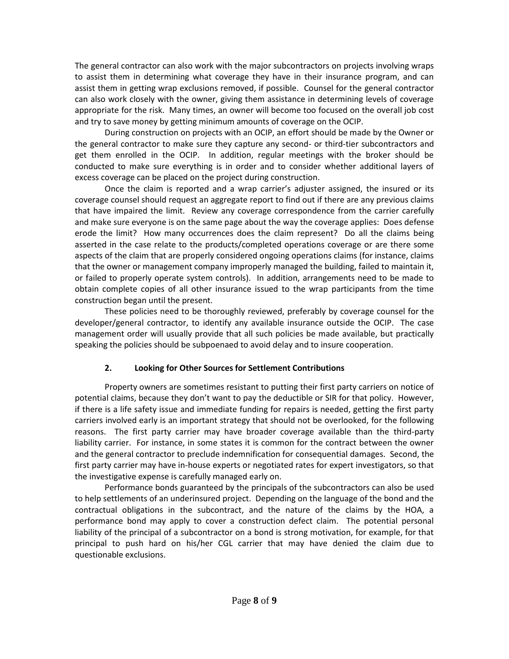The general contractor can also work with the major subcontractors on projects involving wraps to assist them in determining what coverage they have in their insurance program, and can assist them in getting wrap exclusions removed, if possible. Counsel for the general contractor can also work closely with the owner, giving them assistance in determining levels of coverage appropriate for the risk. Many times, an owner will become too focused on the overall job cost and try to save money by getting minimum amounts of coverage on the OCIP.

During construction on projects with an OCIP, an effort should be made by the Owner or the general contractor to make sure they capture any second- or third-tier subcontractors and get them enrolled in the OCIP. In addition, regular meetings with the broker should be conducted to make sure everything is in order and to consider whether additional layers of excess coverage can be placed on the project during construction.

Once the claim is reported and a wrap carrier's adjuster assigned, the insured or its coverage counsel should request an aggregate report to find out if there are any previous claims that have impaired the limit. Review any coverage correspondence from the carrier carefully and make sure everyone is on the same page about the way the coverage applies: Does defense erode the limit? How many occurrences does the claim represent? Do all the claims being asserted in the case relate to the products/completed operations coverage or are there some aspects of the claim that are properly considered ongoing operations claims (for instance, claims that the owner or management company improperly managed the building, failed to maintain it, or failed to properly operate system controls). In addition, arrangements need to be made to obtain complete copies of all other insurance issued to the wrap participants from the time construction began until the present.

These policies need to be thoroughly reviewed, preferably by coverage counsel for the developer/general contractor, to identify any available insurance outside the OCIP. The case management order will usually provide that all such policies be made available, but practically speaking the policies should be subpoenaed to avoid delay and to insure cooperation.

# **2. Looking for Other Sources for Settlement Contributions**

Property owners are sometimes resistant to putting their first party carriers on notice of potential claims, because they don't want to pay the deductible or SIR for that policy. However, if there is a life safety issue and immediate funding for repairs is needed, getting the first party carriers involved early is an important strategy that should not be overlooked, for the following reasons. The first party carrier may have broader coverage available than the third-party liability carrier. For instance, in some states it is common for the contract between the owner and the general contractor to preclude indemnification for consequential damages. Second, the first party carrier may have in-house experts or negotiated rates for expert investigators, so that the investigative expense is carefully managed early on.

Performance bonds guaranteed by the principals of the subcontractors can also be used to help settlements of an underinsured project. Depending on the language of the bond and the contractual obligations in the subcontract, and the nature of the claims by the HOA, a performance bond may apply to cover a construction defect claim. The potential personal liability of the principal of a subcontractor on a bond is strong motivation, for example, for that principal to push hard on his/her CGL carrier that may have denied the claim due to questionable exclusions.